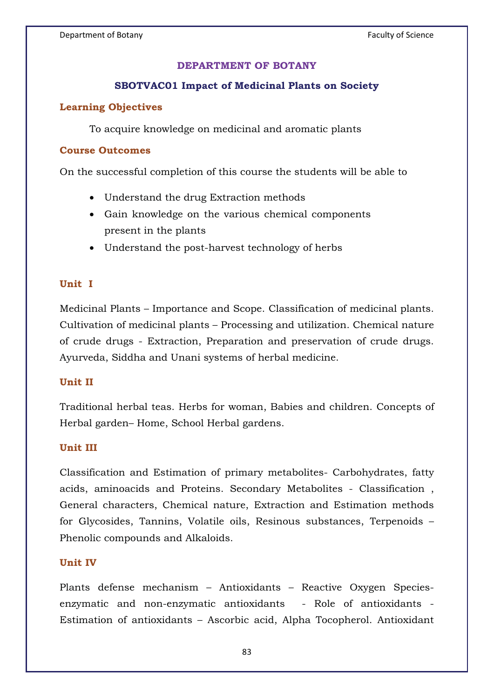# **DEPARTMENT OF BOTANY**

## **SBOTVAC01 Impact of Medicinal Plants on Society**

## **Learning Objectives**

To acquire knowledge on medicinal and aromatic plants

### **Course Outcomes**

On the successful completion of this course the students will be able to

- Understand the drug Extraction methods
- Gain knowledge on the various chemical components present in the plants
- Understand the post-harvest technology of herbs

## **Unit I**

Medicinal Plants – Importance and Scope. Classification of medicinal plants. Cultivation of medicinal plants – Processing and utilization. Chemical nature of crude drugs - Extraction, Preparation and preservation of crude drugs. Ayurveda, Siddha and Unani systems of herbal medicine.

### **Unit II**

Traditional herbal teas. Herbs for woman, Babies and children. Concepts of Herbal garden– Home, School Herbal gardens.

### **Unit III**

Classification and Estimation of primary metabolites- Carbohydrates, fatty acids, aminoacids and Proteins. Secondary Metabolites - Classification , General characters, Chemical nature, Extraction and Estimation methods for Glycosides, Tannins, Volatile oils, Resinous substances, Terpenoids – Phenolic compounds and Alkaloids.

### **Unit IV**

Plants defense mechanism – Antioxidants – Reactive Oxygen Speciesenzymatic and non-enzymatic antioxidants - Role of antioxidants - Estimation of antioxidants – Ascorbic acid, Alpha Tocopherol. Antioxidant